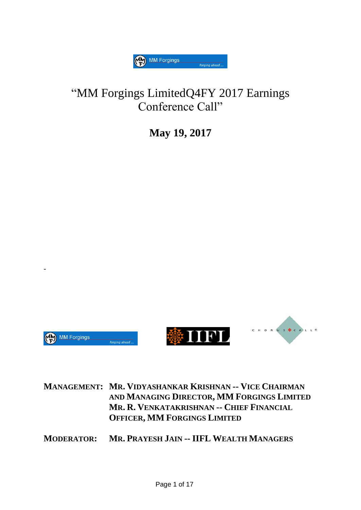

## "MM Forgings LimitedQ4FY 2017 Earnings Conference Call"

**May 19, 2017**



-

**MANAGEMENT: MR. VIDYASHANKAR KRISHNAN -- VICE CHAIRMAN AND MANAGING DIRECTOR, MM FORGINGS LIMITED MR. R. VENKATAKRISHNAN -- CHIEF FINANCIAL OFFICER, MM FORGINGS LIMITED**

**MODERATOR: MR. PRAYESH JAIN -- IIFL WEALTH MANAGERS**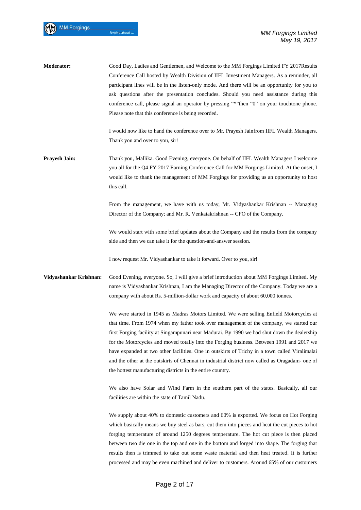| Moderator:             | Good Day, Ladies and Gentlemen, and Welcome to the MM Forgings Limited FY 2017Results<br>Conference Call hosted by Wealth Division of IIFL Investment Managers. As a reminder, all<br>participant lines will be in the listen-only mode. And there will be an opportunity for you to<br>ask questions after the presentation concludes. Should you need assistance during this<br>conference call, please signal an operator by pressing "*" then "0" on your touchtone phone.<br>Please note that this conference is being recorded.                                                                                                               |
|------------------------|-----------------------------------------------------------------------------------------------------------------------------------------------------------------------------------------------------------------------------------------------------------------------------------------------------------------------------------------------------------------------------------------------------------------------------------------------------------------------------------------------------------------------------------------------------------------------------------------------------------------------------------------------------|
|                        | I would now like to hand the conference over to Mr. Prayesh Jainfrom IIFL Wealth Managers.<br>Thank you and over to you, sir!                                                                                                                                                                                                                                                                                                                                                                                                                                                                                                                       |
| <b>Prayesh Jain:</b>   | Thank you, Mallika. Good Evening, everyone. On behalf of IIFL Wealth Managers I welcome<br>you all for the Q4 FY 2017 Earning Conference Call for MM Forgings Limited. At the onset, I<br>would like to thank the management of MM Forgings for providing us an opportunity to host<br>this call.                                                                                                                                                                                                                                                                                                                                                   |
|                        | From the management, we have with us today, Mr. Vidyashankar Krishnan -- Managing<br>Director of the Company; and Mr. R. Venkatakrishnan -- CFO of the Company.                                                                                                                                                                                                                                                                                                                                                                                                                                                                                     |
|                        | We would start with some brief updates about the Company and the results from the company<br>side and then we can take it for the question-and-answer session.                                                                                                                                                                                                                                                                                                                                                                                                                                                                                      |
|                        | I now request Mr. Vidyashankar to take it forward. Over to you, sir!                                                                                                                                                                                                                                                                                                                                                                                                                                                                                                                                                                                |
| Vidyashankar Krishnan: | Good Evening, everyone. So, I will give a brief introduction about MM Forgings Limited. My<br>name is Vidyashankar Krishnan, I am the Managing Director of the Company. Today we are a<br>company with about Rs. 5-million-dollar work and capacity of about 60,000 tonnes.                                                                                                                                                                                                                                                                                                                                                                         |
|                        | We were started in 1945 as Madras Motors Limited. We were selling Enfield Motorcycles at<br>that time. From 1974 when my father took over management of the company, we started our<br>first Forging facility at Singampunari near Madurai. By 1990 we had shut down the dealership<br>for the Motorcycles and moved totally into the Forging business. Between 1991 and 2017 we<br>have expanded at two other facilities. One in outskirts of Trichy in a town called Viralimalai<br>and the other at the outskirts of Chennai in industrial district now called as Oragadam- one of<br>the hottest manufacturing districts in the entire country. |
|                        | We also have Solar and Wind Farm in the southern part of the states. Basically, all our<br>facilities are within the state of Tamil Nadu.                                                                                                                                                                                                                                                                                                                                                                                                                                                                                                           |
|                        | We supply about 40% to domestic customers and 60% is exported. We focus on Hot Forging<br>which basically means we buy steel as bars, cut them into pieces and heat the cut pieces to hot<br>forging temperature of around 1250 degrees temperature. The hot cut piece is then placed<br>between two die one in the top and one in the bottom and forged into shape. The forging that<br>results then is trimmed to take out some waste material and then heat treated. It is further<br>processed and may be even machined and deliver to customers. Around 65% of our customers                                                                   |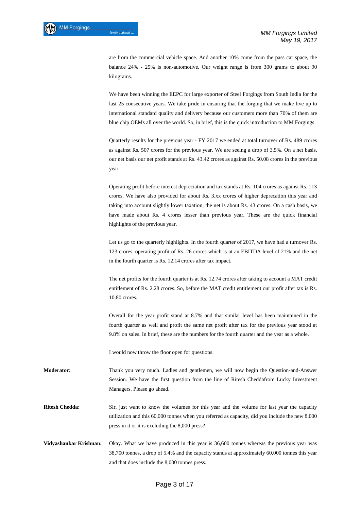are from the commercial vehicle space. And another 10% come from the pass car space, the balance 24% - 25% is non-automotive. Our weight range is from 300 grams to about 90 kilograms.

We have been winning the EEPC for large exporter of Steel Forgings from South India for the last 25 consecutive years. We take pride in ensuring that the forging that we make live up to international standard quality and delivery because our customers more than 70% of them are blue chip OEMs all over the world. So, in brief, this is the quick introduction to MM Forgings.

Quarterly results for the previous year - FY 2017 we ended at total turnover of Rs. 489 crores as against Rs. 507 crores for the previous year. We are seeing a drop of 3.5%. On a net basis, our net basis our net profit stands at Rs. 43.42 crores as against Rs. 50.08 crores in the previous year.

Operating profit before interest depreciation and tax stands at Rs. 104 crores as against Rs. 113 crores. We have also provided for about Rs. 3.xx crores of higher deprecation this year and taking into account slightly lower taxation, the net is about Rs. 43 crores. On a cash basis, we have made about Rs. 4 crores lesser than previous year. These are the quick financial highlights of the previous year.

Let us go to the quarterly highlights. In the fourth quarter of 2017, we have had a turnover Rs. 123 crores, operating profit of Rs. 26 crores which is at an EBITDA level of 21% and the net in the fourth quarter is Rs. 12.14 crores after tax impact**.** 

The net profits for the fourth quarter is at Rs. 12.74 crores after taking to account a MAT credit entitlement of Rs. 2.28 crores. So, before the MAT credit entitlement our profit after tax is Rs. 10.80 crores.

Overall for the year profit stand at 8.7% and that similar level has been maintained in the fourth quarter as well and profit the same net profit after tax for the previous year stood at 9.8% on sales. In brief, these are the numbers for the fourth quarter and the year as a whole.

I would now throw the floor open for questions.

**Moderator:** Thank you very much. Ladies and gentlemen, we will now begin the Question-and-Answer Session. We have the first question from the line of Ritesh Cheddafrom Lucky Investment Managers. Please go ahead.

**Ritesh Chedda:** Sir, just want to know the volumes for this year and the volume for last year the capacity utilization and this 60,000 tonnes when you referred as capacity, did you include the new 8,000 press in it or it is excluding the 8,000 press?

**Vidyashankar Krishnan:** Okay. What we have produced in this year is 36,600 tonnes whereas the previous year was 38,700 tonnes, a drop of 5.4% and the capacity stands at approximately 60,000 tonnes this year and that does include the 8,000 tonnes press.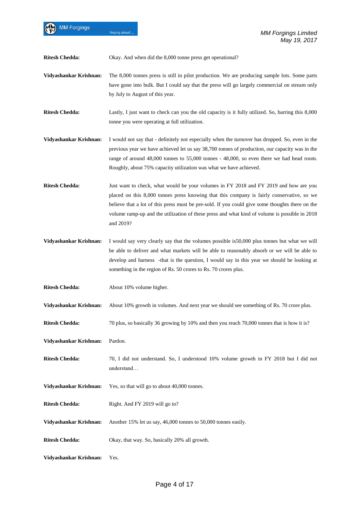**Ritesh Chedda:** Okay. And when did the 8,000 tonne press get operational?

forging ahead

- **Vidyashankar Krishnan:** The 8,000 tonnes press is still in pilot production. We are producing sample lots. Some parts have gone into bulk. But I could say that the press will go largely commercial on stream only by July to August of this year.
- **Ritesh Chedda:** Lastly, I just want to check can you the old capacity is it fully utilized. So, barring this 8,000 tonne you were operating at full utilization.
- **Vidyashankar Krishnan:** I would not say that definitely not especially when the turnover has dropped. So, even in the previous year we have achieved let us say 38,700 tonnes of production, our capacity was in the range of around 48,000 tonnes to 55,000 tonnes - 48,000, so even there we had head room. Roughly, about 75% capacity utilization was what we have achieved.
- **Ritesh Chedda:** Just want to check, what would be your volumes in FY 2018 and FY 2019 and how are you placed on this 8,000 tonnes press knowing that this company is fairly conservative, so we believe that a lot of this press must be pre-sold. If you could give some thoughts there on the volume ramp-up and the utilization of these press and what kind of volume is possible in 2018 and 2019?
- **Vidyashankar Krishnan:** I would say very clearly say that the volumes possible is50,000 plus tonnes but what we will be able to deliver and what markets will be able to reasonably absorb or we will be able to develop and harness -that is the question, I would say in this year we should be looking at something in the region of Rs. 50 crores to Rs. 70 crores plus.
- **Ritesh Chedda:** About 10% volume higher.
- **Vidyashankar Krishnan:** About 10% growth in volumes. And next year we should see something of Rs. 70 crore plus.
- **Ritesh Chedda:** 70 plus, so basically 36 growing by 10% and then you reach 70,000 tonnes that is how it is?
- **Vidyashankar Krishnan:** Pardon.

**MM Forgings** 

- **Ritesh Chedda:** 70, I did not understand. So, I understood 10% volume growth in FY 2018 but I did not understand…
- **Vidyashankar Krishnan:** Yes, so that will go to about 40,000 tonnes.
- **Ritesh Chedda:** Right. And FY 2019 will go to?
- **Vidyashankar Krishnan:** Another 15% let us say, 46,000 tonnes to 50,000 tonnes easily.
- **Ritesh Chedda:** Okay, that way. So, basically 20% all growth.
- **Vidyashankar Krishnan:** Yes.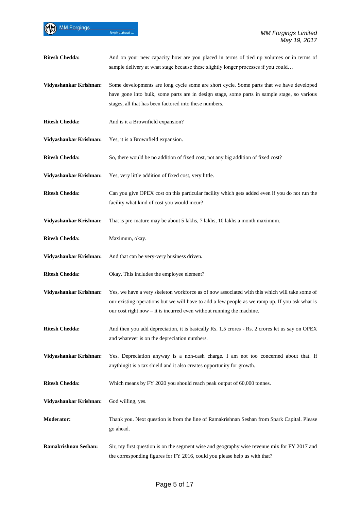MM Forgings

| <b>Ritesh Chedda:</b>  | And on your new capacity how are you placed in terms of tied up volumes or in terms of<br>sample delivery at what stage because these slightly longer processes if you could                                                                                               |
|------------------------|----------------------------------------------------------------------------------------------------------------------------------------------------------------------------------------------------------------------------------------------------------------------------|
| Vidyashankar Krishnan: | Some developments are long cycle some are short cycle. Some parts that we have developed<br>have gone into bulk, some parts are in design stage, some parts in sample stage, so various<br>stages, all that has been factored into these numbers.                          |
| <b>Ritesh Chedda:</b>  | And is it a Brownfield expansion?                                                                                                                                                                                                                                          |
| Vidyashankar Krishnan: | Yes, it is a Brownfield expansion.                                                                                                                                                                                                                                         |
| <b>Ritesh Chedda:</b>  | So, there would be no addition of fixed cost, not any big addition of fixed cost?                                                                                                                                                                                          |
| Vidyashankar Krishnan: | Yes, very little addition of fixed cost, very little.                                                                                                                                                                                                                      |
| <b>Ritesh Chedda:</b>  | Can you give OPEX cost on this particular facility which gets added even if you do not run the<br>facility what kind of cost you would incur?                                                                                                                              |
| Vidyashankar Krishnan: | That is pre-mature may be about 5 lakhs, 7 lakhs, 10 lakhs a month maximum.                                                                                                                                                                                                |
| <b>Ritesh Chedda:</b>  | Maximum, okay.                                                                                                                                                                                                                                                             |
| Vidyashankar Krishnan: | And that can be very-very business driven.                                                                                                                                                                                                                                 |
| <b>Ritesh Chedda:</b>  | Okay. This includes the employee element?                                                                                                                                                                                                                                  |
| Vidyashankar Krishnan: | Yes, we have a very skeleton workforce as of now associated with this which will take some of<br>our existing operations but we will have to add a few people as we ramp up. If you ask what is<br>our cost right now $-$ it is incurred even without running the machine. |
| <b>Ritesh Chedda:</b>  | And then you add depreciation, it is basically Rs. 1.5 crores - Rs. 2 crores let us say on OPEX<br>and whatever is on the depreciation numbers.                                                                                                                            |
| Vidyashankar Krishnan: | Yes. Depreciation anyway is a non-cash charge. I am not too concerned about that. If<br>anythingit is a tax shield and it also creates opportunity for growth.                                                                                                             |
| <b>Ritesh Chedda:</b>  | Which means by FY 2020 you should reach peak output of 60,000 tonnes.                                                                                                                                                                                                      |
| Vidyashankar Krishnan: | God willing, yes.                                                                                                                                                                                                                                                          |
| <b>Moderator:</b>      | Thank you. Next question is from the line of Ramakrishnan Seshan from Spark Capital. Please<br>go ahead.                                                                                                                                                                   |
| Ramakrishnan Seshan:   | Sir, my first question is on the segment wise and geography wise revenue mix for FY 2017 and<br>the corresponding figures for FY 2016, could you please help us with that?                                                                                                 |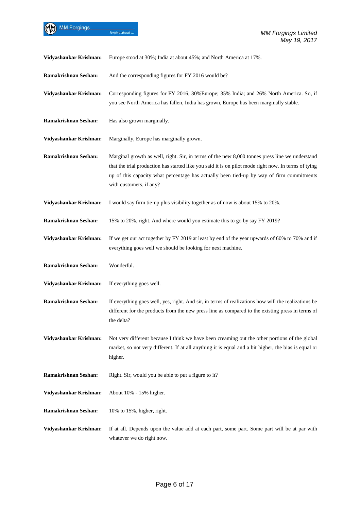forging ahead...

| Vidyashankar Krishnan:      | Europe stood at 30%; India at about 45%; and North America at 17%.                                                                                                                                                                                                                                                            |
|-----------------------------|-------------------------------------------------------------------------------------------------------------------------------------------------------------------------------------------------------------------------------------------------------------------------------------------------------------------------------|
| Ramakrishnan Seshan:        | And the corresponding figures for FY 2016 would be?                                                                                                                                                                                                                                                                           |
| Vidyashankar Krishnan:      | Corresponding figures for FY 2016, 30%Europe; 35% India; and 26% North America. So, if<br>you see North America has fallen, India has grown, Europe has been marginally stable.                                                                                                                                               |
| Ramakrishnan Seshan:        | Has also grown marginally.                                                                                                                                                                                                                                                                                                    |
| Vidyashankar Krishnan:      | Marginally, Europe has marginally grown.                                                                                                                                                                                                                                                                                      |
| <b>Ramakrishnan Seshan:</b> | Marginal growth as well, right. Sir, in terms of the new 8,000 tonnes press line we understand<br>that the trial production has started like you said it is on pilot mode right now. In terms of tying<br>up of this capacity what percentage has actually been tied-up by way of firm commitments<br>with customers, if any? |
| Vidyashankar Krishnan:      | I would say firm tie-up plus visibility together as of now is about 15% to 20%.                                                                                                                                                                                                                                               |
| Ramakrishnan Seshan:        | 15% to 20%, right. And where would you estimate this to go by say FY 2019?                                                                                                                                                                                                                                                    |
| Vidyashankar Krishnan:      | If we get our act together by FY 2019 at least by end of the year upwards of 60% to 70% and if<br>everything goes well we should be looking for next machine.                                                                                                                                                                 |
| Ramakrishnan Seshan:        | Wonderful.                                                                                                                                                                                                                                                                                                                    |
| Vidyashankar Krishnan:      | If everything goes well.                                                                                                                                                                                                                                                                                                      |
| Ramakrishnan Seshan:        | If everything goes well, yes, right. And sir, in terms of realizations how will the realizations be<br>different for the products from the new press line as compared to the existing press in terms of<br>the delta?                                                                                                         |
| Vidyashankar Krishnan:      | Not very different because I think we have been creaming out the other portions of the global<br>market, so not very different. If at all anything it is equal and a bit higher, the bias is equal or<br>higher.                                                                                                              |
| Ramakrishnan Seshan:        | Right. Sir, would you be able to put a figure to it?                                                                                                                                                                                                                                                                          |
| Vidyashankar Krishnan:      | About 10% - 15% higher.                                                                                                                                                                                                                                                                                                       |
| Ramakrishnan Seshan:        | 10% to 15%, higher, right.                                                                                                                                                                                                                                                                                                    |
| Vidyashankar Krishnan:      | If at all. Depends upon the value add at each part, some part. Some part will be at par with<br>whatever we do right now.                                                                                                                                                                                                     |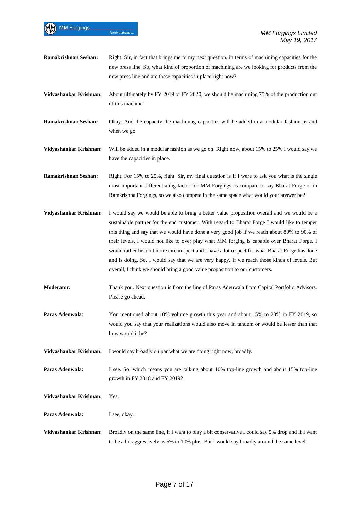| <b>MM Forgings</b>          | forging ahead<br><b>MM Forgings Limited</b>                                                                                                                                                                                                                                                                                                                                                                                                                                                                                                                                                                                                                              |
|-----------------------------|--------------------------------------------------------------------------------------------------------------------------------------------------------------------------------------------------------------------------------------------------------------------------------------------------------------------------------------------------------------------------------------------------------------------------------------------------------------------------------------------------------------------------------------------------------------------------------------------------------------------------------------------------------------------------|
|                             | May 19, 2017                                                                                                                                                                                                                                                                                                                                                                                                                                                                                                                                                                                                                                                             |
| <b>Ramakrishnan Seshan:</b> | Right. Sir, in fact that brings me to my next question, in terms of machining capacities for the<br>new press line. So, what kind of proportion of machining are we looking for products from the<br>new press line and are these capacities in place right now?                                                                                                                                                                                                                                                                                                                                                                                                         |
| Vidyashankar Krishnan:      | About ultimately by FY 2019 or FY 2020, we should be machining 75% of the production out<br>of this machine.                                                                                                                                                                                                                                                                                                                                                                                                                                                                                                                                                             |
| Ramakrishnan Seshan:        | Okay. And the capacity the machining capacities will be added in a modular fashion as and<br>when we go                                                                                                                                                                                                                                                                                                                                                                                                                                                                                                                                                                  |
| Vidyashankar Krishnan:      | Will be added in a modular fashion as we go on. Right now, about 15% to 25% I would say we<br>have the capacities in place.                                                                                                                                                                                                                                                                                                                                                                                                                                                                                                                                              |
| <b>Ramakrishnan Seshan:</b> | Right. For 15% to 25%, right. Sir, my final question is if I were to ask you what is the single<br>most important differentiating factor for MM Forgings as compare to say Bharat Forge or in<br>Ramkrishna Forgings, so we also compete in the same space what would your answer be?                                                                                                                                                                                                                                                                                                                                                                                    |
| Vidyashankar Krishnan:      | I would say we would be able to bring a better value proposition overall and we would be a<br>sustainable partner for the end customer. With regard to Bharat Forge I would like to temper<br>this thing and say that we would have done a very good job if we reach about 80% to 90% of<br>their levels. I would not like to over play what MM forging is capable over Bharat Forge. I<br>would rather be a bit more circumspect and I have a lot respect for what Bharat Forge has done<br>and is doing. So, I would say that we are very happy, if we reach those kinds of levels. But<br>overall, I think we should bring a good value proposition to our customers. |
| <b>Moderator:</b>           | Thank you. Next question is from the line of Paras Adenwala from Capital Portfolio Advisors.<br>Please go ahead.                                                                                                                                                                                                                                                                                                                                                                                                                                                                                                                                                         |
| Paras Adenwala:             | You mentioned about 10% volume growth this year and about 15% to 20% in FY 2019, so<br>would you say that your realizations would also move in tandem or would be lesser than that<br>how would it be?                                                                                                                                                                                                                                                                                                                                                                                                                                                                   |
| Vidyashankar Krishnan:      | I would say broadly on par what we are doing right now, broadly.                                                                                                                                                                                                                                                                                                                                                                                                                                                                                                                                                                                                         |
| Paras Adenwala:             | I see. So, which means you are talking about 10% top-line growth and about 15% top-line<br>growth in FY 2018 and FY 2019?                                                                                                                                                                                                                                                                                                                                                                                                                                                                                                                                                |
| Vidyashankar Krishnan:      | Yes.                                                                                                                                                                                                                                                                                                                                                                                                                                                                                                                                                                                                                                                                     |
| Paras Adenwala:             | I see, okay.                                                                                                                                                                                                                                                                                                                                                                                                                                                                                                                                                                                                                                                             |
| Vidyashankar Krishnan:      | Broadly on the same line, if I want to play a bit conservative I could say 5% drop and if I want<br>to be a bit aggressively as 5% to 10% plus. But I would say broadly around the same level.                                                                                                                                                                                                                                                                                                                                                                                                                                                                           |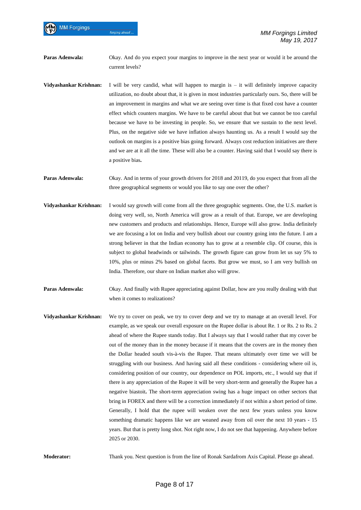**Paras Adenwala:** Okay. And do you expect your margins to improve in the next year or would it be around the current levels?

- **Vidyashankar Krishnan:** I will be very candid, what will happen to margin is it will definitely improve capacity utilization, no doubt about that, it is given in most industries particularly ours. So, there will be an improvement in margins and what we are seeing over time is that fixed cost have a counter effect which counters margins. We have to be careful about that but we cannot be too careful because we have to be investing in people. So, we ensure that we sustain to the next level. Plus, on the negative side we have inflation always haunting us. As a result I would say the outlook on margins is a positive bias going forward. Always cost reduction initiatives are there and we are at it all the time. These will also be a counter. Having said that I would say there is a positive bias**.**
- **Paras Adenwala:** Okay. And in terms of your growth drivers for 2018 and 20119, do you expect that from all the three geographical segments or would you like to say one over the other?
- **Vidyashankar Krishnan:** I would say growth will come from all the three geographic segments. One, the U.S. market is doing very well, so, North America will grow as a result of that. Europe, we are developing new customers and products and relationships. Hence, Europe will also grow. India definitely we are focusing a lot on India and very bullish about our country going into the future. I am a strong believer in that the Indian economy has to grow at a resemble clip. Of course, this is subject to global headwinds or tailwinds. The growth figure can grow from let us say 5% to 10%, plus or minus 2% based on global facets. But grow we must, so I am very bullish on India. Therefore, our share on Indian market also will grow.
- **Paras Adenwala:** Okay. And finally with Rupee appreciating against Dollar, how are you really dealing with that when it comes to realizations?
- **Vidyashankar Krishnan:** We try to cover on peak, we try to cover deep and we try to manage at an overall level. For example, as we speak our overall exposure on the Rupee dollar is about Re. 1 or Rs. 2 to Rs. 2 ahead of where the Rupee stands today. But I always say that I would rather that my cover be out of the money than in the money because if it means that the covers are in the money then the Dollar headed south vis-à-vis the Rupee. That means ultimately over time we will be struggling with our business. And having said all these conditions - considering where oil is, considering position of our country, our dependence on POL imports, etc., I would say that if there is any appreciation of the Rupee it will be very short-term and generally the Rupee has a negative biastoit**.** The short-term appreciation swing has a huge impact on other sectors that bring in FOREX and there will be a correction immediately if not within a short period of time. Generally, I hold that the rupee will weaken over the next few years unless you know something dramatic happens like we are weaned away from oil over the next 10 years - 15 years. But that is pretty long shot. Not right now, I do not see that happening. Anywhere before 2025 or 2030.

**Moderator:** Thank you. Next question is from the line of Ronak Sardafrom Axis Capital. Please go ahead.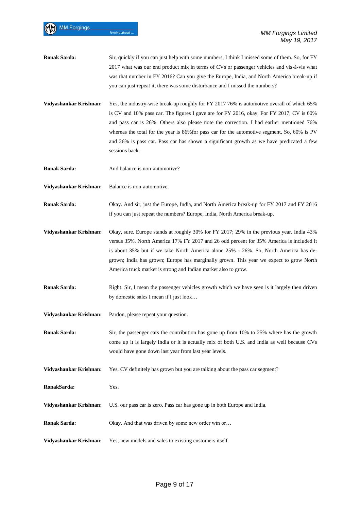- **Ronak Sarda:** Sir, quickly if you can just help with some numbers, I think I missed some of them. So, for FY 2017 what was our end product mix in terms of CVs or passenger vehicles and vis-à-vis what was that number in FY 2016? Can you give the Europe, India, and North America break-up if you can just repeat it, there was some disturbance and I missed the numbers?
- **Vidyashankar Krishnan:** Yes, the industry-wise break-up roughly for FY 2017 76% is automotive overall of which 65% is CV and 10% pass car. The figures I gave are for FY 2016, okay. For FY 2017, CV is 60% and pass car is 26%. Others also please note the correction. I had earlier mentioned 76% whereas the total for the year is 86%for pass car for the automotive segment. So, 60% is PV and 26% is pass car. Pass car has shown a significant growth as we have predicated a few sessions back.
- **Ronak Sarda:** And balance is non-automotive?
- **Vidyashankar Krishnan:** Balance is non-automotive.
- **Ronak Sarda:** Okay. And sir, just the Europe, India, and North America break-up for FY 2017 and FY 2016 if you can just repeat the numbers? Europe, India, North America break-up.
- **Vidyashankar Krishnan:** Okay, sure. Europe stands at roughly 30% for FY 2017; 29% in the previous year. India 43% versus 35%. North America 17% FY 2017 and 26 odd percent for 35% America is included it is about 35% but if we take North America alone 25% - 26%. So, North America has degrown; India has grown; Europe has marginally grown. This year we expect to grow North America truck market is strong and Indian market also to grow.
- **Ronak Sarda:** Right. Sir, I mean the passenger vehicles growth which we have seen is it largely then driven by domestic sales I mean if I just look…
- **Vidyashankar Krishnan:** Pardon, please repeat your question.
- **Ronak Sarda:** Sir, the passenger cars the contribution has gone up from 10% to 25% where has the growth come up it is largely India or it is actually mix of both U.S. and India as well because CVs would have gone down last year from last year levels.
- **Vidyashankar Krishnan:** Yes, CV definitely has grown but you are talking about the pass car segment?
- **RonakSarda:** Yes.
- **Vidyashankar Krishnan:** U.S. our pass car is zero. Pass car has gone up in both Europe and India.
- **Ronak Sarda:** Okay. And that was driven by some new order win or...
- **Vidyashankar Krishnan:** Yes, new models and sales to existing customers itself.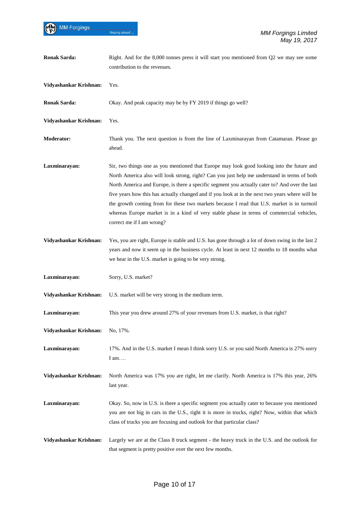| <b>Ronak Sarda:</b>    | Right. And for the 8,000 tonnes press it will start you mentioned from Q2 we may see some<br>contribution to the revenues.                                                                                                                                                                                                                                                                                                                                                                                                                                                                                             |
|------------------------|------------------------------------------------------------------------------------------------------------------------------------------------------------------------------------------------------------------------------------------------------------------------------------------------------------------------------------------------------------------------------------------------------------------------------------------------------------------------------------------------------------------------------------------------------------------------------------------------------------------------|
| Vidyashankar Krishnan: | Yes.                                                                                                                                                                                                                                                                                                                                                                                                                                                                                                                                                                                                                   |
| <b>Ronak Sarda:</b>    | Okay. And peak capacity may be by FY 2019 if things go well?                                                                                                                                                                                                                                                                                                                                                                                                                                                                                                                                                           |
| Vidyashankar Krishnan: | Yes.                                                                                                                                                                                                                                                                                                                                                                                                                                                                                                                                                                                                                   |
| <b>Moderator:</b>      | Thank you. The next question is from the line of Laxminarayan from Catamaran. Please go<br>ahead.                                                                                                                                                                                                                                                                                                                                                                                                                                                                                                                      |
| Laxminarayan:          | Sir, two things one as you mentioned that Europe may look good looking into the future and<br>North America also will look strong, right? Can you just help me understand in terms of both<br>North America and Europe, is there a specific segment you actually cater to? And over the last<br>five years how this has actually changed and if you look at in the next two years where will be<br>the growth coming from for these two markets because I read that U.S. market is in turmoil<br>whereas Europe market is in a kind of very stable phase in terms of commercial vehicles,<br>correct me if I am wrong? |
| Vidyashankar Krishnan: | Yes, you are right, Europe is stable and U.S. has gone through a lot of down swing in the last 2<br>years and now it seem up in the business cycle. At least in next 12 months to 18 months what<br>we hear in the U.S. market is going to be very strong.                                                                                                                                                                                                                                                                                                                                                             |
| Laxminarayan:          | Sorry, U.S. market?                                                                                                                                                                                                                                                                                                                                                                                                                                                                                                                                                                                                    |
| Vidyashankar Krishnan: | U.S. market will be very strong in the medium term.                                                                                                                                                                                                                                                                                                                                                                                                                                                                                                                                                                    |
| Laxminarayan:          | This year you drew around 27% of your revenues from U.S. market, is that right?                                                                                                                                                                                                                                                                                                                                                                                                                                                                                                                                        |
| Vidyashankar Krishnan: | No, 17%.                                                                                                                                                                                                                                                                                                                                                                                                                                                                                                                                                                                                               |
| Laxminarayan:          | 17%. And in the U.S. market I mean I think sorry U.S. or you said North America is 27% sorry<br>I am                                                                                                                                                                                                                                                                                                                                                                                                                                                                                                                   |
| Vidyashankar Krishnan: | North America was 17% you are right, let me clarify. North America is 17% this year, 26%<br>last year.                                                                                                                                                                                                                                                                                                                                                                                                                                                                                                                 |
| Laxminarayan:          | Okay. So, now in U.S. is there a specific segment you actually cater to because you mentioned<br>you are not big in cars in the U.S., right it is more in trucks, right? Now, within that which<br>class of trucks you are focusing and outlook for that particular class?                                                                                                                                                                                                                                                                                                                                             |
| Vidyashankar Krishnan: | Largely we are at the Class 8 truck segment - the heavy truck in the U.S. and the outlook for<br>that segment is pretty positive over the next few months.                                                                                                                                                                                                                                                                                                                                                                                                                                                             |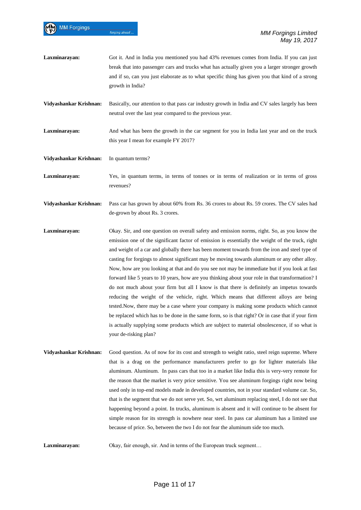| Laxminarayan:          | Got it. And in India you mentioned you had 43% revenues comes from India. If you can just<br>break that into passenger cars and trucks what has actually given you a larger stronger growth<br>and if so, can you just elaborate as to what specific thing has given you that kind of a strong<br>growth in India?                                                                                                                                                                                                                                                                                                                                                                                                                                                                                                                                                                                                                                                                                                                                                                                                        |
|------------------------|---------------------------------------------------------------------------------------------------------------------------------------------------------------------------------------------------------------------------------------------------------------------------------------------------------------------------------------------------------------------------------------------------------------------------------------------------------------------------------------------------------------------------------------------------------------------------------------------------------------------------------------------------------------------------------------------------------------------------------------------------------------------------------------------------------------------------------------------------------------------------------------------------------------------------------------------------------------------------------------------------------------------------------------------------------------------------------------------------------------------------|
| Vidyashankar Krishnan: | Basically, our attention to that pass car industry growth in India and CV sales largely has been<br>neutral over the last year compared to the previous year.                                                                                                                                                                                                                                                                                                                                                                                                                                                                                                                                                                                                                                                                                                                                                                                                                                                                                                                                                             |
| Laxminarayan:          | And what has been the growth in the car segment for you in India last year and on the truck<br>this year I mean for example FY 2017?                                                                                                                                                                                                                                                                                                                                                                                                                                                                                                                                                                                                                                                                                                                                                                                                                                                                                                                                                                                      |
| Vidyashankar Krishnan: | In quantum terms?                                                                                                                                                                                                                                                                                                                                                                                                                                                                                                                                                                                                                                                                                                                                                                                                                                                                                                                                                                                                                                                                                                         |
| Laxminarayan:          | Yes, in quantum terms, in terms of tonnes or in terms of realization or in terms of gross<br>revenues?                                                                                                                                                                                                                                                                                                                                                                                                                                                                                                                                                                                                                                                                                                                                                                                                                                                                                                                                                                                                                    |
| Vidyashankar Krishnan: | Pass car has grown by about 60% from Rs. 36 crores to about Rs. 59 crores. The CV sales had<br>de-grown by about Rs. 3 crores.                                                                                                                                                                                                                                                                                                                                                                                                                                                                                                                                                                                                                                                                                                                                                                                                                                                                                                                                                                                            |
| Laxminarayan:          | Okay. Sir, and one question on overall safety and emission norms, right. So, as you know the<br>emission one of the significant factor of emission is essentially the weight of the truck, right<br>and weight of a car and globally there has been moment towards from the iron and steel type of<br>casting for forgings to almost significant may be moving towards aluminum or any other alloy.<br>Now, how are you looking at that and do you see not may be immediate but if you look at fast<br>forward like 5 years to 10 years, how are you thinking about your role in that transformation? I<br>do not much about your firm but all I know is that there is definitely an impetus towards<br>reducing the weight of the vehicle, right. Which means that different alloys are being<br>tested. Now, there may be a case where your company is making some products which cannot<br>be replaced which has to be done in the same form, so is that right? Or in case that if your firm<br>is actually supplying some products which are subject to material obsolescence, if so what is<br>your de-risking plan? |
| Vidyashankar Krishnan: | Good question. As of now for its cost and strength to weight ratio, steel reign supreme. Where<br>that is a drag on the performance manufacturers prefer to go for lighter materials like<br>aluminum. Aluminum. In pass cars that too in a market like India this is very-very remote for<br>the reason that the merket is you price sensitive. You see aluminum forgings right now heing                                                                                                                                                                                                                                                                                                                                                                                                                                                                                                                                                                                                                                                                                                                                |

the reason that the market is very price sensitive. You see aluminum forgings right now being used only in top-end models made in developed countries, not in your standard volume car. So, that is the segment that we do not serve yet. So, wrt aluminum replacing steel, I do not see that happening beyond a point. In trucks, aluminum is absent and it will continue to be absent for simple reason for its strength is nowhere near steel. In pass car aluminum has a limited use because of price. So, between the two I do not fear the aluminum side too much.

Laxminarayan: Okay, fair enough, sir. And in terms of the European truck segment...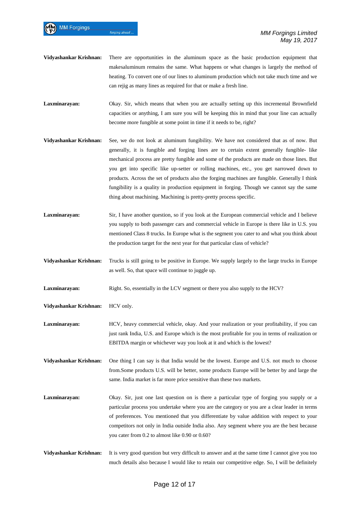- **Vidyashankar Krishnan:** There are opportunities in the aluminum space as the basic production equipment that makesaluminum remains the same. What happens or what changes is largely the method of heating. To convert one of our lines to aluminum production which not take much time and we can rejig as many lines as required for that or make a fresh line.
- **Laxminarayan:** Okay. Sir, which means that when you are actually setting up this incremental Brownfield capacities or anything, I am sure you will be keeping this in mind that your line can actually become more fungible at some point in time if it needs to be, right?
- **Vidyashankar Krishnan:** See, we do not look at aluminum fungibility. We have not considered that as of now. But generally, it is fungible and forging lines are to certain extent generally fungible- like mechanical process are pretty fungible and some of the products are made on those lines. But you get into specific like up-setter or rolling machines, etc., you get narrowed down to products. Across the set of products also the forging machines are fungible. Generally I think fungibility is a quality in production equipment in forging. Though we cannot say the same thing about machining. Machining is pretty-pretty process specific.
- **Laxminarayan:** Sir, I have another question, so if you look at the European commercial vehicle and I believe you supply to both passenger cars and commercial vehicle in Europe is there like in U.S. you mentioned Class 8 trucks. In Europe what is the segment you cater to and what you think about the production target for the next year for that particular class of vehicle?
- **Vidyashankar Krishnan:** Trucks is still going to be positive in Europe. We supply largely to the large trucks in Europe as well. So, that space will continue to juggle up.
- **Laxminarayan:** Right. So, essentially in the LCV segment or there you also supply to the HCV?
- **Vidyashankar Krishnan:** HCV only.

**MM Forgings** 

forging ahead

- **Laxminarayan:** HCV, heavy commercial vehicle, okay. And your realization or your profitability, if you can just rank India, U.S. and Europe which is the most profitable for you in terms of realization or EBITDA margin or whichever way you look at it and which is the lowest?
- **Vidyashankar Krishnan:** One thing I can say is that India would be the lowest. Europe and U.S. not much to choose from.Some products U.S. will be better, some products Europe will be better by and large the same. India market is far more price sensitive than these two markets.
- **Laxminarayan:** Okay. Sir, just one last question on is there a particular type of forging you supply or a particular process you undertake where you are the category or you are a clear leader in terms of preferences. You mentioned that you differentiate by value addition with respect to your competitors not only in India outside India also. Any segment where you are the best because you cater from 0.2 to almost like 0.90 or 0.60?
- **Vidyashankar Krishnan:** It is very good question but very difficult to answer and at the same time I cannot give you too much details also because I would like to retain our competitive edge. So, I will be definitely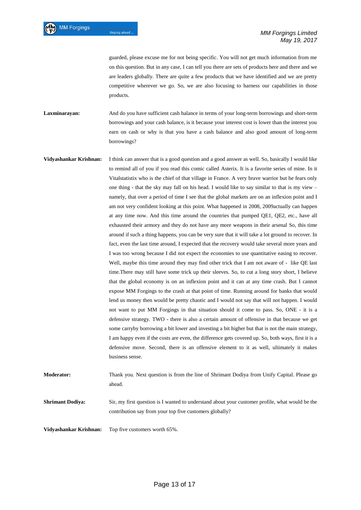guarded, please excuse me for not being specific. You will not get much information from me on this question. But in any case, I can tell you there are sets of products here and there and we are leaders globally. There are quite a few products that we have identified and we are pretty competitive wherever we go. So, we are also focusing to harness our capabilities in those products.

**Laxminarayan:** And do you have sufficient cash balance in terms of your long-term borrowings and short-term borrowings and your cash balance, is it because your interest cost is lower than the interest you earn on cash or why is that you have a cash balance and also good amount of long-term borrowings?

**Vidyashankar Krishnan:** I think can answer that is a good question and a good answer as well. So, basically I would like to remind all of you if you read this comic called Asterix. It is a favorite series of mine. In it Vitalstatistix who is the chief of that village in France. A very brave warrior but he fears only one thing - that the sky may fall on his head. I would like to say similar to that is my view – namely, that over a period of time I see that the global markets are on an inflexion point and I am not very confident looking at this point. What happened in 2008, 2009actually can happen at any time now. And this time around the countries that pumped QE1, QE2, etc., have all exhausted their armory and they do not have any more weapons in their arsenal So, this time around if such a thing happens, you can be very sure that it will take a lot ground to recover. In fact, even the last time around, I expected that the recovery would take several more years and I was too wrong because I did not expect the economies to use quantitative easing to recover. Well, maybe this time around they may find other trick that I am not aware of - like QE last time.There may still have some trick up their sleeves. So, to cut a long story short, I believe that the global economy is on an inflexion point and it can at any time crash. But I cannot expose MM Forgings to the crash at that point of time. Running around for banks that would lend us money then would be pretty chaotic and I would not say that will not happen. I would not want to put MM Forgings in that situation should it come to pass. So, ONE - it is a defensive strategy. TWO - there is also a certain amount of offensive in that because we get some carryby borrowing a bit lower and investing a bit higher but that is not the main strategy, I am happy even if the costs are even, the difference gets covered up. So, both ways, first it is a defensive move. Second, there is an offensive element to it as well, ultimately it makes business sense. **Moderator:** Thank you. Next question is from the line of Shrimant Dodiya from Unify Capital. Please go

**Shrimant Dodiya:** Sir, my first question is I wanted to understand about your customer profile, what would be the

contribution say from your top five customers globally?

**Vidyashankar Krishnan:** Top five customers worth 65%.

ahead.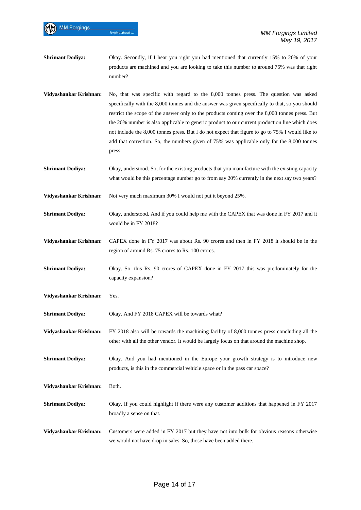**Shrimant Dodiya:** Okay. Secondly, if I hear you right you had mentioned that currently 15% to 20% of your products are machined and you are looking to take this number to around 75% was that right number?

**Vidyashankar Krishnan:** No, that was specific with regard to the 8,000 tonnes press. The question was asked specifically with the 8,000 tonnes and the answer was given specifically to that, so you should restrict the scope of the answer only to the products coming over the 8,000 tonnes press. But the 20% number is also applicable to generic product to our current production line which does not include the 8,000 tonnes press. But I do not expect that figure to go to 75% I would like to add that correction. So, the numbers given of 75% was applicable only for the 8,000 tonnes press.

**Shrimant Dodiya:** Okay, understood. So, for the existing products that you manufacture with the existing capacity what would be this percentage number go to from say 20% currently in the next say two years?

**Vidyashankar Krishnan:** Not very much maximum 30% I would not put it beyond 25%.

**Shrimant Dodiya:** Okay, understood. And if you could help me with the CAPEX that was done in FY 2017 and it would be in FY 2018?

**Vidyashankar Krishnan:** CAPEX done in FY 2017 was about Rs. 90 crores and then in FY 2018 it should be in the region of around Rs. 75 crores to Rs. 100 crores.

**Shrimant Dodiya:** Okay. So, this Rs. 90 crores of CAPEX done in FY 2017 this was predominately for the capacity expansion?

**Vidyashankar Krishnan:** Yes.

**MM Forgings** 

forging ahead

**Shrimant Dodiya:** Okay. And FY 2018 CAPEX will be towards what?

**Vidyashankar Krishnan:** FY 2018 also will be towards the machining facility of 8,000 tonnes press concluding all the other with all the other vendor. It would be largely focus on that around the machine shop.

**Shrimant Dodiya:** Okay. And you had mentioned in the Europe your growth strategy is to introduce new products, is this in the commercial vehicle space or in the pass car space?

**Vidyashankar Krishnan:** Both.

**Shrimant Dodiya:** Okay. If you could highlight if there were any customer additions that happened in FY 2017 broadly a sense on that.

**Vidyashankar Krishnan:** Customers were added in FY 2017 but they have not into bulk for obvious reasons otherwise we would not have drop in sales. So, those have been added there.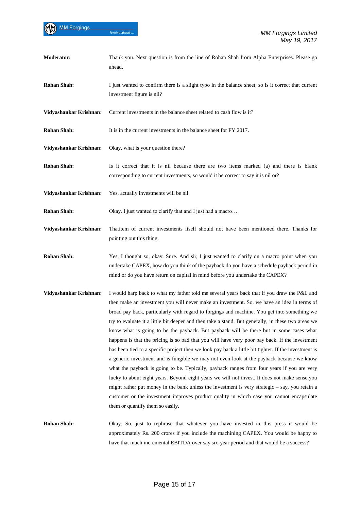| Moderator:             | Thank you. Next question is from the line of Rohan Shah from Alpha Enterprises. Please go<br>ahead.                                                                                                                                                                                                                                                                                                                                                                                                                                                                                                                                                                                                                                                                                                                                                                                                                                                                                                                                                                                                                                                                                                                              |
|------------------------|----------------------------------------------------------------------------------------------------------------------------------------------------------------------------------------------------------------------------------------------------------------------------------------------------------------------------------------------------------------------------------------------------------------------------------------------------------------------------------------------------------------------------------------------------------------------------------------------------------------------------------------------------------------------------------------------------------------------------------------------------------------------------------------------------------------------------------------------------------------------------------------------------------------------------------------------------------------------------------------------------------------------------------------------------------------------------------------------------------------------------------------------------------------------------------------------------------------------------------|
| <b>Rohan Shah:</b>     | I just wanted to confirm there is a slight typo in the balance sheet, so is it correct that current<br>investment figure is nil?                                                                                                                                                                                                                                                                                                                                                                                                                                                                                                                                                                                                                                                                                                                                                                                                                                                                                                                                                                                                                                                                                                 |
| Vidyashankar Krishnan: | Current investments in the balance sheet related to cash flow is it?                                                                                                                                                                                                                                                                                                                                                                                                                                                                                                                                                                                                                                                                                                                                                                                                                                                                                                                                                                                                                                                                                                                                                             |
| <b>Rohan Shah:</b>     | It is in the current investments in the balance sheet for FY 2017.                                                                                                                                                                                                                                                                                                                                                                                                                                                                                                                                                                                                                                                                                                                                                                                                                                                                                                                                                                                                                                                                                                                                                               |
| Vidyashankar Krishnan: | Okay, what is your question there?                                                                                                                                                                                                                                                                                                                                                                                                                                                                                                                                                                                                                                                                                                                                                                                                                                                                                                                                                                                                                                                                                                                                                                                               |
| <b>Rohan Shah:</b>     | Is it correct that it is nil because there are two items marked (a) and there is blank<br>corresponding to current investments, so would it be correct to say it is nil or?                                                                                                                                                                                                                                                                                                                                                                                                                                                                                                                                                                                                                                                                                                                                                                                                                                                                                                                                                                                                                                                      |
| Vidyashankar Krishnan: | Yes, actually investments will be nil.                                                                                                                                                                                                                                                                                                                                                                                                                                                                                                                                                                                                                                                                                                                                                                                                                                                                                                                                                                                                                                                                                                                                                                                           |
| <b>Rohan Shah:</b>     | Okay. I just wanted to clarify that and I just had a macro                                                                                                                                                                                                                                                                                                                                                                                                                                                                                                                                                                                                                                                                                                                                                                                                                                                                                                                                                                                                                                                                                                                                                                       |
| Vidyashankar Krishnan: | Thatitem of current investments itself should not have been mentioned there. Thanks for<br>pointing out this thing.                                                                                                                                                                                                                                                                                                                                                                                                                                                                                                                                                                                                                                                                                                                                                                                                                                                                                                                                                                                                                                                                                                              |
| <b>Rohan Shah:</b>     | Yes, I thought so, okay. Sure. And sir, I just wanted to clarify on a macro point when you<br>undertake CAPEX, how do you think of the payback do you have a schedule payback period in<br>mind or do you have return on capital in mind before you undertake the CAPEX?                                                                                                                                                                                                                                                                                                                                                                                                                                                                                                                                                                                                                                                                                                                                                                                                                                                                                                                                                         |
| Vidyashankar Krishnan: | I would harp back to what my father told me several years back that if you draw the P&L and<br>then make an investment you will never make an investment. So, we have an idea in terms of<br>broad pay back, particularly with regard to forgings and machine. You get into something we<br>try to evaluate it a little bit deeper and then take a stand. But generally, in these two areas we<br>know what is going to be the payback. But payback will be there but in some cases what<br>happens is that the pricing is so bad that you will have very poor pay back. If the investment<br>has been tied to a specific project then we look pay back a little bit tighter. If the investment is<br>a generic investment and is fungible we may not even look at the payback because we know<br>what the payback is going to be. Typically, payback ranges from four years if you are very<br>lucky to about eight years. Beyond eight years we will not invest. It does not make sense, you<br>might rather put money in the bank unless the investment is very strategic - say, you retain a<br>customer or the investment improves product quality in which case you cannot encapsulate<br>them or quantify them so easily. |
| <b>Rohan Shah:</b>     | Okay. So, just to rephrase that whatever you have invested in this press it would be                                                                                                                                                                                                                                                                                                                                                                                                                                                                                                                                                                                                                                                                                                                                                                                                                                                                                                                                                                                                                                                                                                                                             |

approximately Rs. 200 crores if you include the machining CAPEX. You would be happy to have that much incremental EBITDA over say six-year period and that would be a success?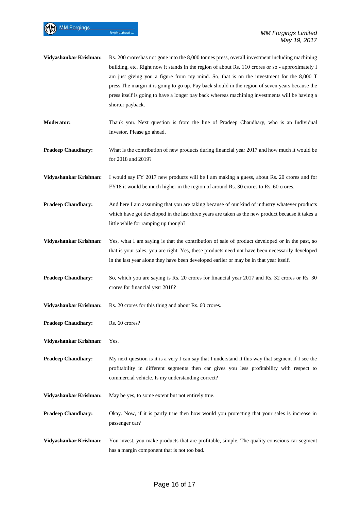MM Forgings

| Vidyashankar Krishnan:    | Rs. 200 croreshas not gone into the 8,000 tonnes press, overall investment including machining<br>building, etc. Right now it stands in the region of about Rs. 110 crores or so - approximately I<br>am just giving you a figure from my mind. So, that is on the investment for the 8,000 T<br>press. The margin it is going to go up. Pay back should in the region of seven years because the<br>press itself is going to have a longer pay back whereas machining investments will be having a<br>shorter payback. |
|---------------------------|-------------------------------------------------------------------------------------------------------------------------------------------------------------------------------------------------------------------------------------------------------------------------------------------------------------------------------------------------------------------------------------------------------------------------------------------------------------------------------------------------------------------------|
| <b>Moderator:</b>         | Thank you. Next question is from the line of Pradeep Chaudhary, who is an Individual<br>Investor. Please go ahead.                                                                                                                                                                                                                                                                                                                                                                                                      |
| <b>Pradeep Chaudhary:</b> | What is the contribution of new products during financial year 2017 and how much it would be<br>for 2018 and 2019?                                                                                                                                                                                                                                                                                                                                                                                                      |
| Vidyashankar Krishnan:    | I would say FY 2017 new products will be I am making a guess, about Rs. 20 crores and for<br>FY18 it would be much higher in the region of around Rs. 30 crores to Rs. 60 crores.                                                                                                                                                                                                                                                                                                                                       |
| <b>Pradeep Chaudhary:</b> | And here I am assuming that you are taking because of our kind of industry whatever products<br>which have got developed in the last three years are taken as the new product because it takes a<br>little while for ramping up though?                                                                                                                                                                                                                                                                                 |
| Vidyashankar Krishnan:    | Yes, what I am saying is that the contribution of sale of product developed or in the past, so<br>that is your sales, you are right. Yes, these products need not have been necessarily developed<br>in the last year alone they have been developed earlier or may be in that year itself.                                                                                                                                                                                                                             |
| <b>Pradeep Chaudhary:</b> | So, which you are saying is Rs. 20 crores for financial year 2017 and Rs. 32 crores or Rs. 30<br>crores for financial year 2018?                                                                                                                                                                                                                                                                                                                                                                                        |
| Vidyashankar Krishnan:    | Rs. 20 crores for this thing and about Rs. 60 crores.                                                                                                                                                                                                                                                                                                                                                                                                                                                                   |
| <b>Pradeep Chaudhary:</b> | Rs. 60 crores?                                                                                                                                                                                                                                                                                                                                                                                                                                                                                                          |
| Vidyashankar Krishnan:    | Yes.                                                                                                                                                                                                                                                                                                                                                                                                                                                                                                                    |
| <b>Pradeep Chaudhary:</b> | My next question is it is a very I can say that I understand it this way that segment if I see the<br>profitability in different segments then car gives you less profitability with respect to<br>commercial vehicle. Is my understanding correct?                                                                                                                                                                                                                                                                     |
| Vidyashankar Krishnan:    | May be yes, to some extent but not entirely true.                                                                                                                                                                                                                                                                                                                                                                                                                                                                       |
| <b>Pradeep Chaudhary:</b> | Okay. Now, if it is partly true then how would you protecting that your sales is increase in<br>passenger car?                                                                                                                                                                                                                                                                                                                                                                                                          |
| Vidyashankar Krishnan:    | You invest, you make products that are profitable, simple. The quality conscious car segment<br>has a margin component that is not too bad.                                                                                                                                                                                                                                                                                                                                                                             |